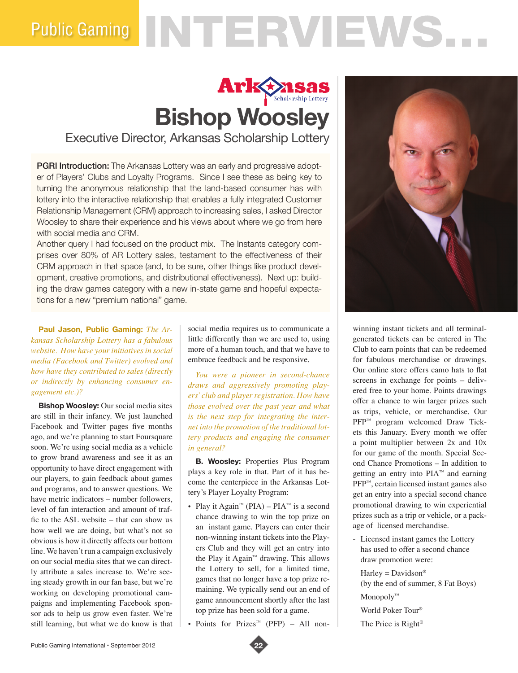# Public Gaming NTERVIEWS.

# **Ark Scholarship Lottery Bishop Woosley**

Executive Director, Arkansas Scholarship Lottery

**PGRI Introduction:** The Arkansas Lottery was an early and progressive adopter of Players' Clubs and Loyalty Programs. Since I see these as being key to turning the anonymous relationship that the land-based consumer has with lottery into the interactive relationship that enables a fully integrated Customer Relationship Management (CRM) approach to increasing sales, I asked Director Woosley to share their experience and his views about where we go from here with social media and CRM.

Another query I had focused on the product mix. The Instants category comprises over 80% of AR Lottery sales, testament to the effectiveness of their CRM approach in that space (and, to be sure, other things like product development, creative promotions, and distributional effectiveness). Next up: building the draw games category with a new in-state game and hopeful expectations for a new "premium national" game.

**Paul Jason, Public Gaming:** *The Arkansas Scholarship Lottery has a fabulous website. How have your initiatives in social media (Facebook and Twitter) evolved and how have they contributed to sales (directly or indirectly by enhancing consumer engagement etc.)?*

**Bishop Woosley:** Our social media sites are still in their infancy. We just launched Facebook and Twitter pages five months ago, and we're planning to start Foursquare soon. We're using social media as a vehicle to grow brand awareness and see it as an opportunity to have direct engagement with our players, to gain feedback about games and programs, and to answer questions. We have metric indicators – number followers level of fan interaction and amount of traffic to the ASL website – that can show us how well we are doing, but what's not so obvious is how it directly affects our bottom line. We haven't run a campaign exclusively on our social media sites that we can directly attribute a sales increase to. We're seeing steady growth in our fan base, but we're working on developing promotional campaigns and implementing Facebook sponsor ads to help us grow even faster. We're still learning, but what we do know is that social media requires us to communicate a little differently than we are used to, using more of a human touch, and that we have to embrace feedback and be responsive.

*You were a pioneer in second-chance draws and aggressively promoting players' club and player registration. How have those evolved over the past year and what is the next step for integrating the internet into the promotion of the traditional lottery products and engaging the consumer in general?* 

**B. Woosley:** Properties Plus Program plays a key role in that. Part of it has become the centerpiece in the Arkansas Lottery's Player Loyalty Program:

- Play it Again<sup>™</sup> (PIA) PIA<sup>™</sup> is a second chance drawing to win the top prize on an instant game. Players can enter their non-winning instant tickets into the Players Club and they will get an entry into the Play it Again™ drawing. This allows the Lottery to sell, for a limited time, games that no longer have a top prize remaining. We typically send out an end of game announcement shortly after the last top prize has been sold for a game.
- Points for Prizes™ (PFP) All non-



winning instant tickets and all terminalgenerated tickets can be entered in The Club to earn points that can be redeemed for fabulous merchandise or drawings. Our online store offers camo hats to flat screens in exchange for points – delivered free to your home. Points drawings offer a chance to win larger prizes such as trips, vehicle, or merchandise. Our PFP<sup>™</sup> program welcomed Draw Tickets this January. Every month we offer a point multiplier between 2x and 10x for our game of the month. Special Second Chance Promotions – In addition to getting an entry into PIA™ and earning PFP™, certain licensed instant games also get an entry into a special second chance promotional drawing to win experiential prizes such as a trip or vehicle, or a package of licensed merchandise.

- Licensed instant games the Lottery has used to offer a second chance draw promotion were:

 $H$ arley = Davidson® (by the end of summer, 8 Fat Boys) Monopoly™

World Poker Tour®

The Price is Right®

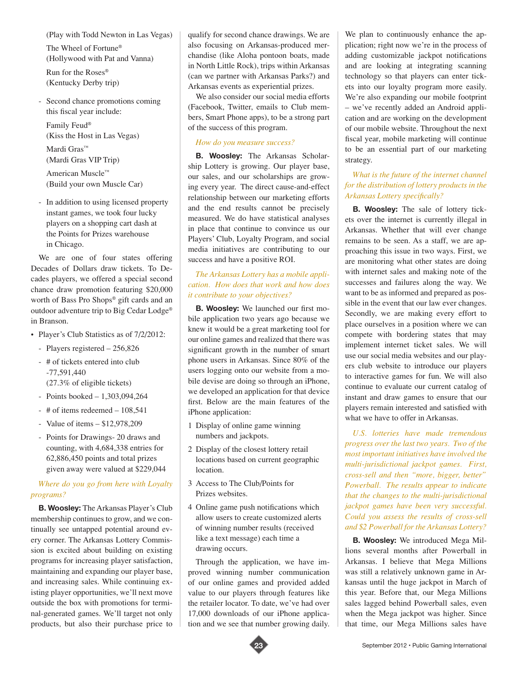(Play with Todd Newton in Las Vegas)

The Wheel of Fortune® (Hollywood with Pat and Vanna) Run for the Roses®

(Kentucky Derby trip)

Second chance promotions coming this fiscal year include:

Family Feud® (Kiss the Host in Las Vegas)

Mardi Gras™ (Mardi Gras VIP Trip)

American Muscle™ (Build your own Muscle Car)

- In addition to using licensed property instant games, we took four lucky players on a shopping cart dash at the Points for Prizes warehouse in Chicago.

We are one of four states offering Decades of Dollars draw tickets. To Decades players, we offered a special second chance draw promotion featuring \$20,000 worth of Bass Pro Shops® gift cards and an outdoor adventure trip to Big Cedar Lodge® in Branson.

- Player's Club Statistics as of 7/2/2012:
	- Players registered 256,826
	- # of tickets entered into club -77,591,440 (27.3% of eligible tickets)
	- Points booked 1,303,094,264
	- # of items redeemed 108,541
	- Value of items \$12,978,209
	- Points for Drawings- 20 draws and counting, with 4,684,338 entries for 62,886,450 points and total prizes given away were valued at \$229,044

## *Where do you go from here with Loyalty programs?*

**B. Woosley:** The Arkansas Player's Club membership continues to grow, and we continually see untapped potential around every corner. The Arkansas Lottery Commission is excited about building on existing programs for increasing player satisfaction, maintaining and expanding our player base, and increasing sales. While continuing existing player opportunities, we'll next move outside the box with promotions for terminal-generated games. We'll target not only products, but also their purchase price to

qualify for second chance drawings. We are also focusing on Arkansas-produced merchandise (like Aloha pontoon boats, made in North Little Rock), trips within Arkansas (can we partner with Arkansas Parks?) and Arkansas events as experiential prizes.

We also consider our social media efforts (Facebook, Twitter, emails to Club members, Smart Phone apps), to be a strong part of the success of this program.

# *How do you measure success?*

**B. Woosley:** The Arkansas Scholarship Lottery is growing. Our player base, our sales, and our scholarships are growing every year. The direct cause-and-effect relationship between our marketing efforts and the end results cannot be precisely measured. We do have statistical analyses in place that continue to convince us our Players' Club, Loyalty Program, and social media initiatives are contributing to our success and have a positive ROI.

## *The Arkansas Lottery has a mobile application. How does that work and how does it contribute to your objectives?*

**B. Woosley:** We launched our first mobile application two years ago because we knew it would be a great marketing tool for our online games and realized that there was significant growth in the number of smart phone users in Arkansas. Since 80% of the users logging onto our website from a mobile devise are doing so through an iPhone, we developed an application for that device first. Below are the main features of the iPhone application:

- 1 Display of online game winning numbers and jackpots.
- 2 Display of the closest lottery retail locations based on current geographic location.
- 3 Access to The Club/Points for Prizes websites.
- 4 Online game push notifications which allow users to create customized alerts of winning number results (received like a text message) each time a drawing occurs.

Through the application, we have improved winning number communication of our online games and provided added value to our players through features like the retailer locator. To date, we've had over 17,000 downloads of our iPhone application and we see that number growing daily.

We plan to continuously enhance the application; right now we're in the process of adding customizable jackpot notifications and are looking at integrating scanning technology so that players can enter tickets into our loyalty program more easily. We're also expanding our mobile footprint – we've recently added an Android application and are working on the development of our mobile website. Throughout the next fiscal year, mobile marketing will continue to be an essential part of our marketing strategy.

# *What is the future of the internet channel for the distribution of lottery products in the Arkansas Lottery specifically?*

**B. Woosley:** The sale of lottery tickets over the internet is currently illegal in Arkansas. Whether that will ever change remains to be seen. As a staff, we are approaching this issue in two ways. First, we are monitoring what other states are doing with internet sales and making note of the successes and failures along the way. We want to be as informed and prepared as possible in the event that our law ever changes. Secondly, we are making every effort to place ourselves in a position where we can compete with bordering states that may implement internet ticket sales. We will use our social media websites and our players club website to introduce our players to interactive games for fun. We will also continue to evaluate our current catalog of instant and draw games to ensure that our players remain interested and satisfied with what we have to offer in Arkansas.

*U.S. lotteries have made tremendous progress over the last two years. Two of the most important initiatives have involved the multi-jurisdictional jackpot games. First, cross-sell and then "more, bigger, better" Powerball. The results appear to indicate that the changes to the multi-jurisdictional jackpot games have been very successful. Could you assess the results of cross-sell and \$2 Powerball for the Arkansas Lottery?*

**B. Woosley:** We introduced Mega Millions several months after Powerball in Arkansas. I believe that Mega Millions was still a relatively unknown game in Arkansas until the huge jackpot in March of this year. Before that, our Mega Millions sales lagged behind Powerball sales, even when the Mega jackpot was higher. Since that time, our Mega Millions sales have